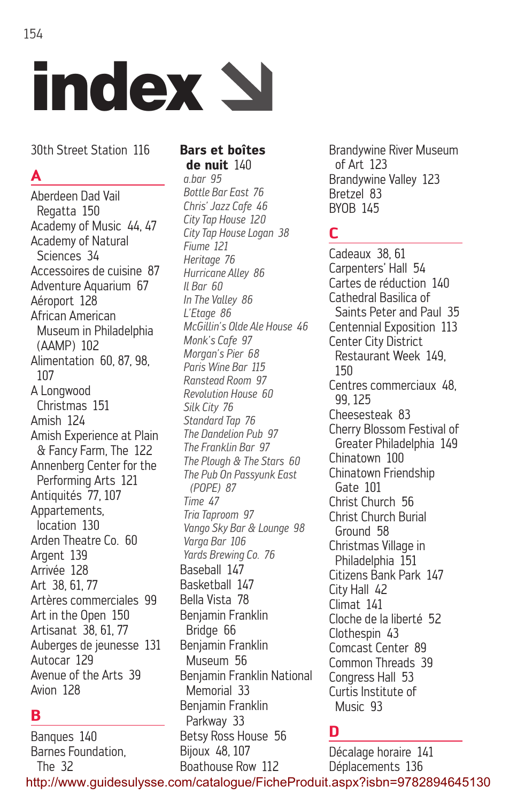30th Street Station 116

index  $\Delta$ 

## **A**

Aberdeen Dad Vail Regatta 150 Academy of Music 44, 47 Academy of Natural Sciences 34 Accessoires de cuisine 87 Adventure Aquarium 67 Aéroport 128 African American Museum in Philadelphia (AAMP) 102 Alimentation 60, 87, 98, 107 A Longwood Christmas 151 Amish 124 Amish Experience at Plain & Fancy Farm, The 122 Annenberg Center for the Performing Arts 121 Antiquités 77, 107 Appartements, location 130 Arden Theatre Co. 60 Argent 139 Arrivée 128 Art 38, 61, 77 Artères commerciales 99 Art in the Open 150 Artisanat 38, 61, 77 Auberges de jeunesse 131 Autocar 129 Avenue of the Arts 39 Avion 128

## **B**

Banques 140 Barnes Foundation, The 32 http://www.guidesulysse.com/catalogue/FicheProduit.aspx?isbn=9782894645130

#### **Bars et boîtes de nuit** 140

*a.bar 95 Bottle Bar East 76 Chris' Jazz Cafe 46 City Tap House 120 City Tap House Logan 38 Fiume 121 Heritage 76 Hurricane Alley 86 Il Bar 60 In The Valley 86 L'Etage 86 McGillin's Olde Ale House 46 Monk's Cafe 97 Morgan's Pier 68 Paris Wine Bar 115 Ranstead Room 97 Revolution House 60 Silk City 76 Standard Tap 76 The Dandelion Pub 97 The Franklin Bar 97 The Plough & The Stars 60 The Pub On Passyunk East (POPE) 87 Time 47 Tria Taproom 97 Vango Sky Bar & Lounge 98 Varga Bar 106 Yards Brewing Co. 76* Baseball 147 Basketball 147 Bella Vista 78 Benjamin Franklin Bridge 66 Benjamin Franklin Museum 56 Benjamin Franklin National Memorial 33 Benjamin Franklin Parkway 33 Betsy Ross House 56 Bijoux 48, 107 Boathouse Row 112

Brandywine River Museum of Art 123 Brandywine Valley 123 Bretzel 83 BYOB 145

## **C**

Cadeaux 38, 61 Carpenters' Hall 54 Cartes de réduction 140 Cathedral Basilica of Saints Peter and Paul 35 Centennial Exposition 113 Center City District Restaurant Week 149, 150 Centres commerciaux 48, 99, 125 Cheesesteak 83 Cherry Blossom Festival of Greater Philadelphia 149 Chinatown 100 Chinatown Friendship Gate 101 Christ Church 56 Christ Church Burial Ground 58 Christmas Village in Philadelphia 151 Citizens Bank Park 147 City Hall 42 Climat 141 Cloche de la liberté 52 Clothespin 43 Comcast Center 89 Common Threads 39 Congress Hall 53 Curtis Institute of Music 93

## **D**

Décalage horaire 141 Déplacements 136

154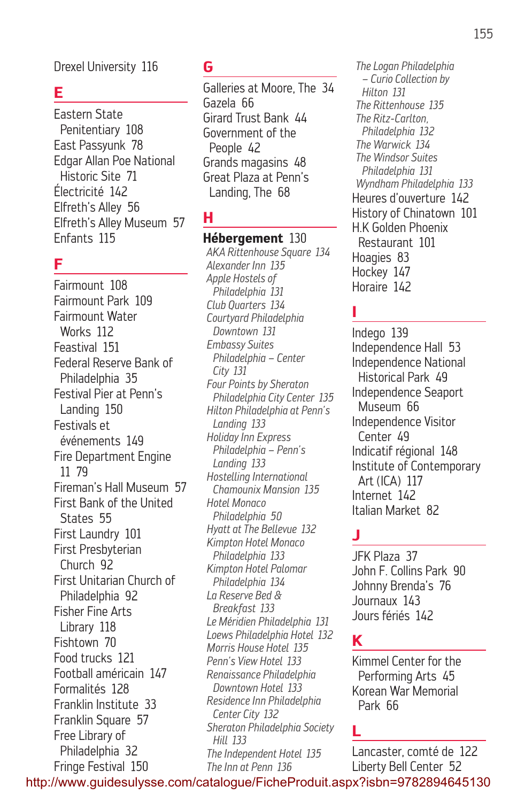Drexel University 116

## **E**

Eastern State Penitentiary 108 East Passyunk 78 Edgar Allan Poe National Historic Site 71 Électricité 142 Elfreth's Alley 56 Elfreth's Alley Museum 57 Enfants 115

#### **F**

Fairmount 108 Fairmount Park 109 Fairmount Water Works 112 Feastival 151 Federal Reserve Bank of Philadelphia 35 Festival Pier at Penn's Landing 150 Festivals et événements 149 Fire Department Engine 11 79 Fireman's Hall Museum 57 First Bank of the United States 55 First Laundry 101 First Presbyterian Church 92 First Unitarian Church of Philadelphia 92 Fisher Fine Arts Library 118 Fishtown 70 Food trucks 121 Football américain 147 Formalités 128 Franklin Institute 33 Franklin Square 57 Free Library of Philadelphia 32 Fringe Festival 150

#### **G**

Galleries at Moore, The 34 Gazela 66 Girard Trust Bank 44 Government of the People 42 Grands magasins 48 Great Plaza at Penn's Landing, The 68

## **H**

**Hébergement** 130 *AKA Rittenhouse Square 134 Alexander Inn 135 Apple Hostels of Philadelphia 131 Club Quarters 134 Courtyard Philadelphia Downtown 131 Embassy Suites Philadelphia – Center City 131 Four Points by Sheraton Philadelphia City Center 135 Hilton Philadelphia at Penn's Landing 133 Holiday Inn Express Philadelphia – Penn's Landing 133 Hostelling International Chamounix Mansion 135 Hotel Monaco Philadelphia 50 Hyatt at The Bellevue 132 Kimpton Hotel Monaco Philadelphia 133 Kimpton Hotel Palomar Philadelphia 134 La Reserve Bed & Breakfast 133 Le Méridien Philadelphia 131 Loews Philadelphia Hotel 132 Morris House Hotel 135 Penn's View Hotel 133 Renaissance Philadelphia Downtown Hotel 133 Residence Inn Philadelphia Center City 132 Sheraton Philadelphia Society Hill 133 The Independent Hotel 135 The Inn at Penn 136*

*The Logan Philadelphia – Curio Collection by Hilton 131 The Rittenhouse 135 The Ritz-Carlton, Philadelphia 132 The Warwick 134 The Windsor Suites Philadelphia 131 Wyndham Philadelphia 133* Heures d'ouverture 142 History of Chinatown 101 H.K Golden Phoenix Restaurant 101 Hoagies 83 Hockey 147 Horaire 142

## **I**

Indego 139 Independence Hall 53 Independence National Historical Park 49 Independence Seaport Museum 66 Independence Visitor Center 49 Indicatif régional 148 Institute of Contemporary Art (ICA) 117 Internet 142 Italian Market 82

## **J**

JFK Plaza 37 John F. Collins Park 90 Johnny Brenda's 76 Journaux 143 Jours fériés 142

## **K**

Kimmel Center for the Performing Arts 45 Korean War Memorial Park 66

#### **L**

Lancaster, comté de 122 Liberty Bell Center 52

http://www.guidesulysse.com/catalogue/FicheProduit.aspx?isbn=9782894645130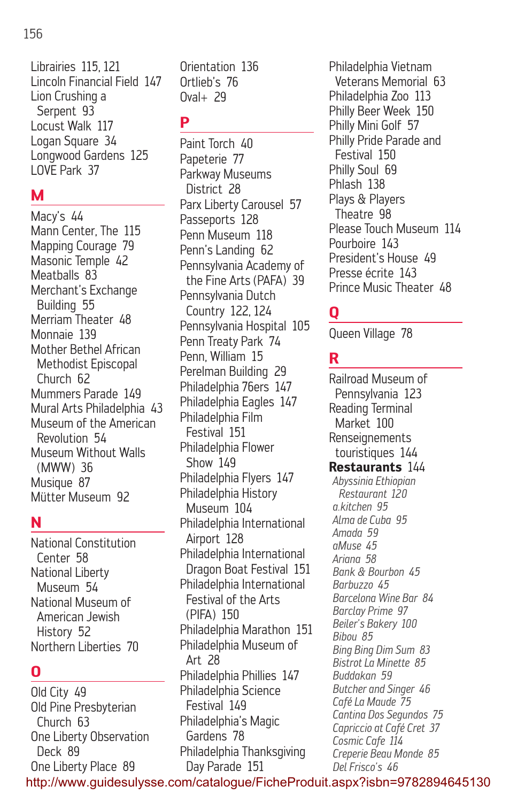#### 156

Librairies 115, 121 Lincoln Financial Field 147 Lion Crushing a Serpent 93 Locust Walk 117 Logan Square 34 Longwood Gardens 125 LOVE Park 37

## **M**

Macy's 44 Mann Center, The 115 Mapping Courage 79 Masonic Temple 42 Meatballs 83 Merchant's Exchange Building 55 Merriam Theater 48 Monnaie 139 Mother Bethel African Methodist Episcopal Church 62 Mummers Parade 149 Mural Arts Philadelphia 43 Museum of the American Revolution 54 Museum Without Walls (MWW) 36 Musique 87 Mütter Museum 92

## **N**

National Constitution Center 58 National Liberty Museum 54 National Museum of American Jewish History 52 Northern Liberties 70

## **O**

Old City 49 Old Pine Presbyterian Church 63 One Liberty Observation Deck 89 One Liberty Place 89

Orientation 136 Ortlieb's 76 Oval+ 29

## **P**

Paint Torch 40 Papeterie 77 Parkway Museums District 28 Parx Liberty Carousel 57 Passeports 128 Penn Museum 118 Penn's Landing 62 Pennsylvania Academy of the Fine Arts (PAFA) 39 Pennsylvania Dutch Country 122, 124 Pennsylvania Hospital 105 Penn Treaty Park 74 Penn, William 15 Perelman Building 29 Philadelphia 76ers 147 Philadelphia Eagles 147 Philadelphia Film Festival 151 Philadelphia Flower Show 149 Philadelphia Flyers 147 Philadelphia History Museum 104 Philadelphia International Airport 128 Philadelphia International Dragon Boat Festival 151 Philadelphia International Festival of the Arts (PIFA) 150 Philadelphia Marathon 151 Philadelphia Museum of Art 28 Philadelphia Phillies 147 Philadelphia Science Festival 149 Philadelphia's Magic Gardens 78 Philadelphia Thanksgiving Day Parade 151

Philadelphia Vietnam Veterans Memorial 63 Philadelphia Zoo 113 Philly Beer Week 150 Philly Mini Golf 57 Philly Pride Parade and Festival 150 Philly Soul 69 Phlash 138 Plays & Players Theatre 98 Please Touch Museum 114 Pourhoire 143 President's House 49 Presse écrite 143 Prince Music Theater 48

# **Q**

Queen Village 78

## **R**

Railroad Museum of Pennsylvania 123 Reading Terminal Market 100 Renseignements touristiques 144 **Restaurants** 144 *Abyssinia Ethiopian Restaurant 120 a.kitchen 95 Alma de Cuba 95 Amada 59 aMuse 45 Ariana 58 Bank & Bourbon 45 Barbuzzo 45 Barcelona Wine Bar 84 Barclay Prime 97 Beiler's Bakery 100 Bibou 85 Bing Bing Dim Sum 83 Bistrot La Minette 85 Buddakan 59 Butcher and Singer 46 Café La Maude 75 Cantina Dos Segundos 75 Capriccio at Café Cret 37 Cosmic Cafe 114 Creperie Beau Monde 85 Del Frisco's 46*

http://www.guidesulysse.com/catalogue/FicheProduit.aspx?isbn=9782894645130